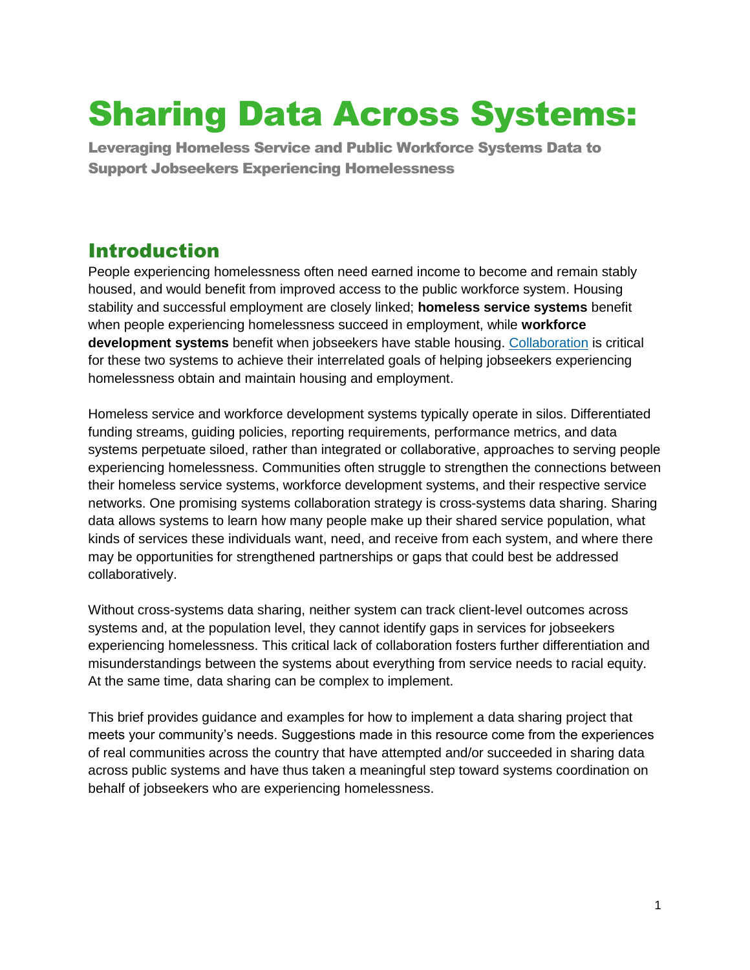# Sharing Data Across Systems:

Leveraging Homeless Service and Public Workforce Systems Data to Support Jobseekers Experiencing Homelessness

# Introduction

People experiencing homelessness often need earned income to become and remain stably housed, and would benefit from improved access to the public workforce system. Housing stability and successful employment are closely linked; **homeless service systems** benefit when people experiencing homelessness succeed in employment, while **workforce development systems** benefit when jobseekers have stable housing. [Collaboration](https://nationalinitiatives.issuelab.org/resource/systems-work-better-together-strengthening-public-workforce-homeless-service-systems-collaboration.html) is critical for these two systems to achieve their interrelated goals of helping jobseekers experiencing homelessness obtain and maintain housing and employment.

Homeless service and workforce development systems typically operate in silos. Differentiated funding streams, guiding policies, reporting requirements, performance metrics, and data systems perpetuate siloed, rather than integrated or collaborative, approaches to serving people experiencing homelessness. Communities often struggle to strengthen the connections between their homeless service systems, workforce development systems, and their respective service networks. One promising systems collaboration strategy is cross-systems data sharing. Sharing data allows systems to learn how many people make up their shared service population, what kinds of services these individuals want, need, and receive from each system, and where there may be opportunities for strengthened partnerships or gaps that could best be addressed collaboratively.

Without cross-systems data sharing, neither system can track client-level outcomes across systems and, at the population level, they cannot identify gaps in services for jobseekers experiencing homelessness. This critical lack of collaboration fosters further differentiation and misunderstandings between the systems about everything from service needs to racial equity. At the same time, data sharing can be complex to implement.

This brief provides guidance and examples for how to implement a data sharing project that meets your community's needs. Suggestions made in this resource come from the experiences of real communities across the country that have attempted and/or succeeded in sharing data across public systems and have thus taken a meaningful step toward systems coordination on behalf of jobseekers who are experiencing homelessness.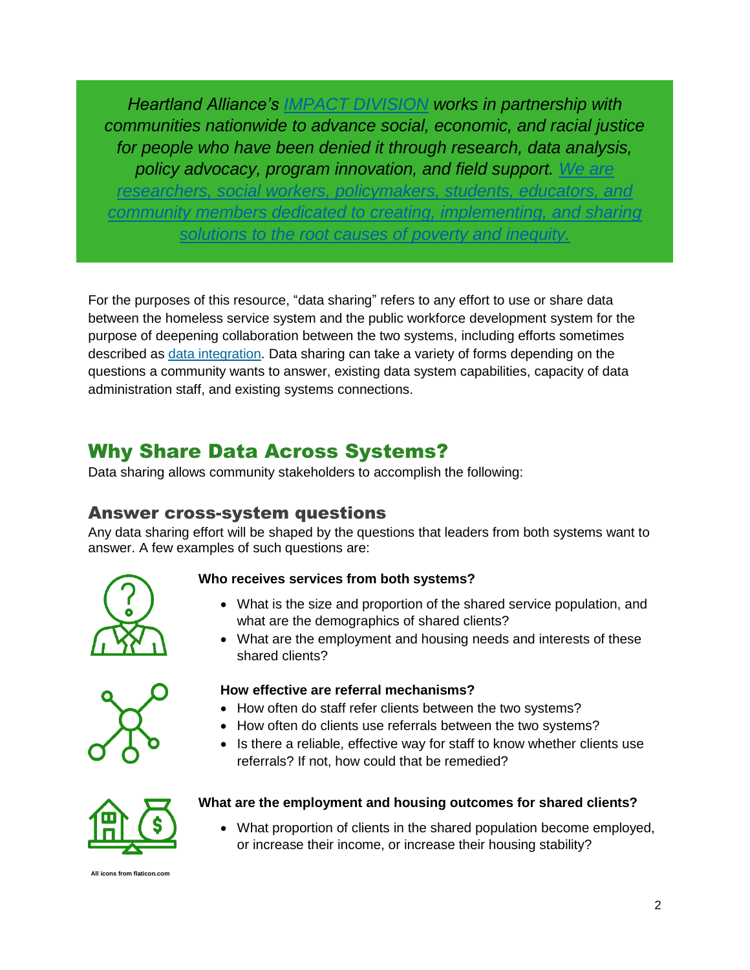*Heartland Alliance's [IMPACT DIVISION](https://www.heartlandalliance.org/program/research-and-policy/) works in partnership with communities nationwide to advance social, economic, and racial justice for people who have been denied it through research, data analysis, policy advocacy, program innovation, and field support. We are* 

*researchers, social workers, policymakers, students, educators, and community members dedicated to creating, implementing, and sharing solutions to the root causes of poverty and inequity.*

For the purposes of this resource, "data sharing" refers to any effort to use or share data between the homeless service system and the public workforce development system for the purpose of deepening collaboration between the two systems, including efforts sometimes described as [data integration.](https://www.heartlandalliance.org/program/research-and-policy/) Data sharing can take a variety of forms depending on the questions a community wants to answer, existing data system capabilities, capacity of data administration staff, and existing systems connections.

# Why Share Data Across Systems?

Data sharing allows community stakeholders to accomplish the following:

## Answer cross-system questions

Any data sharing effort will be shaped by the questions that leaders from both systems want to answer. A few examples of such questions are:



### **Who receives services from both systems?**

- What is the size and proportion of the shared service population, and what are the demographics of shared clients?
- What are the employment and housing needs and interests of these shared clients?



#### **How effective are referral mechanisms?**

- How often do staff refer clients between the two systems?
- How often do clients use referrals between the two systems?
- Is there a reliable, effective way for staff to know whether clients use referrals? If not, how could that be remedied?



### **What are the employment and housing outcomes for shared clients?**

• What proportion of clients in the shared population become employed, or increase their income, or increase their housing stability?

**All icons from flaticon.co**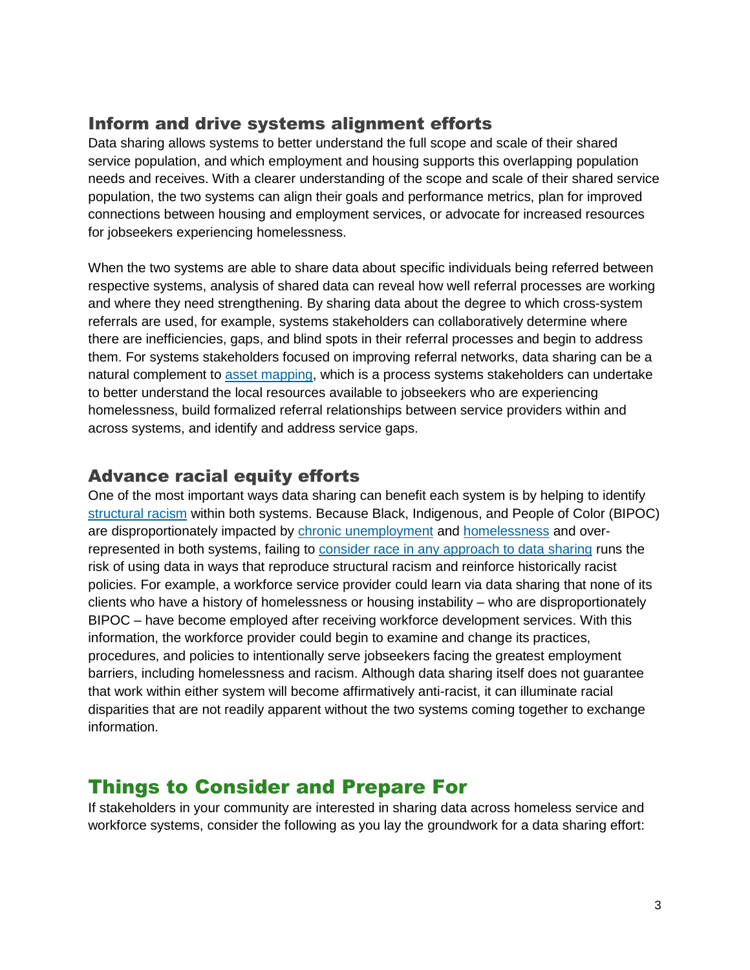## Inform and drive systems alignment efforts

Data sharing allows systems to better understand the full scope and scale of their shared service population, and which employment and housing supports this overlapping population needs and receives. With a clearer understanding of the scope and scale of their shared service population, the two systems can align their goals and performance metrics, plan for improved connections between housing and employment services, or advocate for increased resources for jobseekers experiencing homelessness.

When the two systems are able to share data about specific individuals being referred between respective systems, analysis of shared data can reveal how well referral processes are working and where they need strengthening. By sharing data about the degree to which cross-system referrals are used, for example, systems stakeholders can collaboratively determine where there are inefficiencies, gaps, and blind spots in their referral processes and begin to address them. For systems stakeholders focused on improving referral networks, data sharing can be a natural complement to [asset mapping,](https://nationalinitiatives.issuelab.org/resource/asset-mapping-in-los-angeles-county.html) which is a process systems stakeholders can undertake to better understand the local resources available to jobseekers who are experiencing homelessness, build formalized referral relationships between service providers within and across systems, and identify and address service gaps.

## Advance racial equity efforts

One of the most important ways data sharing can benefit each system is by helping to identify [structural racism](https://www.americanprogress.org/issues/economy/reports/2019/12/05/478150/african-americans-face-systematic-obstacles-getting-good-jobs/) within both systems. Because Black, Indigenous, and People of Color (BIPOC) are disproportionately impacted by [chronic unemployment](https://www.cbpp.org/black-and-hispanic-unemployment-rates-consistently-higher-than-white-rate) and [homelessness](https://endhomelessness.org/resource/racial-inequalities-homelessness-numbers/) and overrepresented in both systems, failing to consider race [in any approach to data sharing](https://www.aisp.upenn.edu/wp-content/uploads/2020/08/AISP-Toolkit_5.27.20.pdf) runs the risk of using data in ways that reproduce structural racism and reinforce historically racist policies. For example, a workforce service provider could learn via data sharing that none of its clients who have a history of homelessness or housing instability – who are disproportionately BIPOC – have become employed after receiving workforce development services. With this information, the workforce provider could begin to examine and change its practices, procedures, and policies to intentionally serve jobseekers facing the greatest employment barriers, including homelessness and racism. Although data sharing itself does not guarantee that work within either system will become affirmatively anti-racist, it can illuminate racial disparities that are not readily apparent without the two systems coming together to exchange information.

## Things to Consider and Prepare For

If stakeholders in your community are interested in sharing data across homeless service and workforce systems, consider the following as you lay the groundwork for a data sharing effort: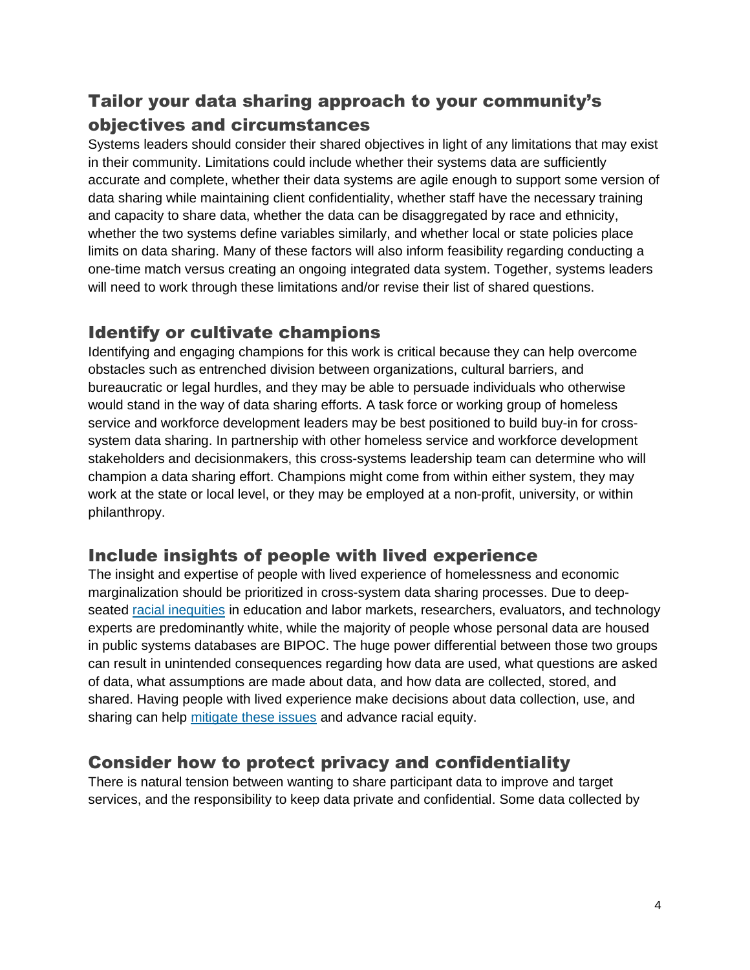## Tailor your data sharing approach to your community's objectives and circumstances

Systems leaders should consider their shared objectives in light of any limitations that may exist in their community. Limitations could include whether their systems data are sufficiently accurate and complete, whether their data systems are agile enough to support some version of data sharing while maintaining client confidentiality, whether staff have the necessary training and capacity to share data, whether the data can be disaggregated by race and ethnicity, whether the two systems define variables similarly, and whether local or state policies place limits on data sharing. Many of these factors will also inform feasibility regarding conducting a one-time match versus creating an ongoing integrated data system. Together, systems leaders will need to work through these limitations and/or revise their list of shared questions.

## Identify or cultivate champions

Identifying and engaging champions for this work is critical because they can help overcome obstacles such as entrenched division between organizations, cultural barriers, and bureaucratic or legal hurdles, and they may be able to persuade individuals who otherwise would stand in the way of data sharing efforts. A task force or working group of homeless service and workforce development leaders may be best positioned to build buy-in for crosssystem data sharing. In partnership with other homeless service and workforce development stakeholders and decisionmakers, this cross-systems leadership team can determine who will champion a data sharing effort. Champions might come from within either system, they may work at the state or local level, or they may be employed at a non-profit, university, or within philanthropy.

## Include insights of people with lived experience

The insight and expertise of people with lived experience of homelessness and economic marginalization should be prioritized in cross-system data sharing processes. Due to deepseated [racial inequities](https://www.latimes.com/business/technology/story/2020-06-24/tech-started-publicly-taking-lack-of-diversity-seriously-in-2014-why-has-so-little-changed-for-black-workers) in education and labor markets, researchers, evaluators, and technology experts are predominantly white, while the majority of people whose personal data are housed in public systems databases are BIPOC. The huge power differential between those two groups can result in unintended consequences regarding how data are used, what questions are asked of data, what assumptions are made about data, and how data are collected, stored, and shared. Having people with lived experience make decisions about data collection, use, and sharing can help [mitigate these issues](https://www.urban.org/events/centering-racial-equity-data-use) and advance racial equity.

## Consider how to protect privacy and confidentiality

There is natural tension between wanting to share participant data to improve and target services, and the responsibility to keep data private and confidential. Some data collected by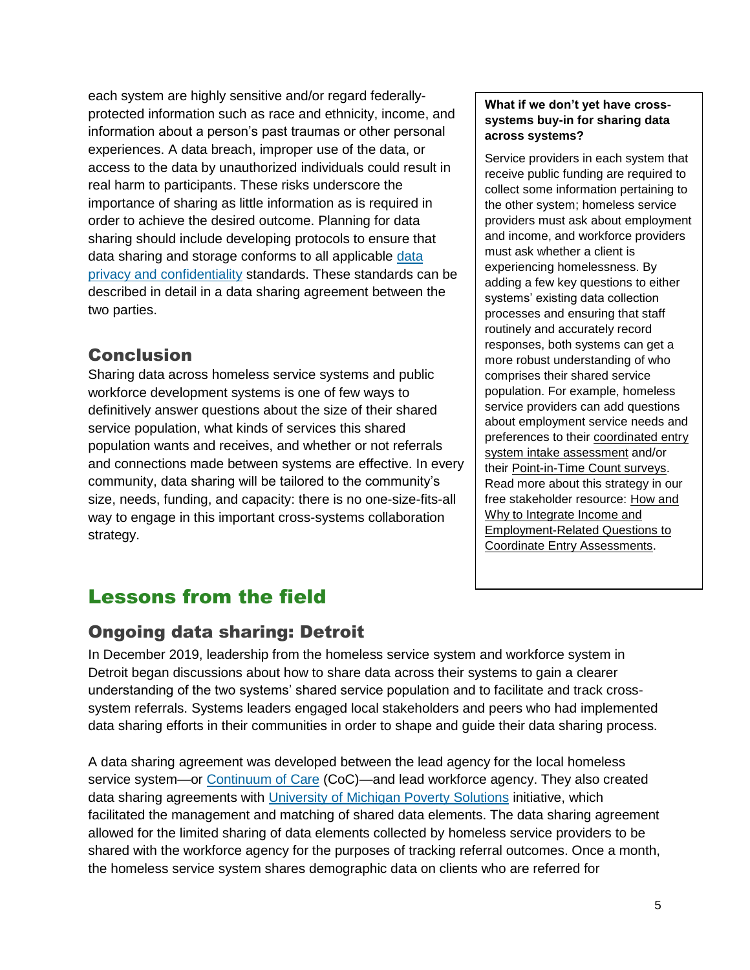each system are highly sensitive and/or regard federallyprotected information such as race and ethnicity, income, and information about a person's past traumas or other personal experiences. A data breach, improper use of the data, or access to the data by unauthorized individuals could result in real harm to participants. These risks underscore the importance of sharing as little information as is required in order to achieve the desired outcome. Planning for data sharing should include developing protocols to ensure that data sharing and storage conforms to all applicable [data](https://fpf.org/wp-content/uploads/2018/09/FPF-AISP_Nothing-to-Hide.pdf) [privacy and confidentiality](https://fpf.org/wp-content/uploads/2018/09/FPF-AISP_Nothing-to-Hide.pdf) standards. These standards can be described in detail in a data sharing agreement between the two parties.

## Conclusion

Sharing data across homeless service systems and public workforce development systems is one of few ways to definitively answer questions about the size of their shared service population, what kinds of services this shared population wants and receives, and whether or not referrals and connections made between systems are effective. In every community, data sharing will be tailored to the community's size, needs, funding, and capacity: there is no one-size-fits-all way to engage in this important cross-systems collaboration strategy.

#### **What if we don't yet have crosssystems buy-in for sharing data across systems?**

Service providers in each system that receive public funding are required to collect some information pertaining to the other system; homeless service providers must ask about employment and income, and workforce providers must ask whether a client is experiencing homelessness. By adding a few key questions to either systems' existing data collection processes and ensuring that staff routinely and accurately record responses, both systems can get a more robust understanding of who comprises their shared service population. For example, homeless service providers can add questions about employment service needs and preferences to their coordinated entry [system intake assessment](https://nationalinitiatives.issuelab.org/resource/how-and-why-to-integrate-income-employment-related-questions-into-coordinated-entry-assessments.html) and/or their [Point-in-Time Count surveys.](https://nationalinitiatives.issuelab.org/resource/advancing-employment-through-the-point-in-time-count.html) Read more about this strategy in our free stakeholder resource: [How and](https://nationalinitiatives.issuelab.org/resource/how-and-why-to-integrate-income-employment-related-questions-into-coordinated-entry-assessments.html)  [Why to Integrate Income and](https://nationalinitiatives.issuelab.org/resource/how-and-why-to-integrate-income-employment-related-questions-into-coordinated-entry-assessments.html)  [Employment-Related Questions to](https://nationalinitiatives.issuelab.org/resource/how-and-why-to-integrate-income-employment-related-questions-into-coordinated-entry-assessments.html)  [Coordinate Entry Assessments.](https://nationalinitiatives.issuelab.org/resource/how-and-why-to-integrate-income-employment-related-questions-into-coordinated-entry-assessments.html)

# Lessons from the field

## Ongoing data sharing: Detroit

In December 2019, leadership from the homeless service system and workforce system in Detroit began discussions about how to share data across their systems to gain a clearer understanding of the two systems' shared service population and to facilitate and track crosssystem referrals. Systems leaders engaged local stakeholders and peers who had implemented data sharing efforts in their communities in order to shape and guide their data sharing process.

A data sharing agreement was developed between the lead agency for the local homeless service system—or [Continuum of Care](https://www.hudexchange.info/faqs/programs/continuum-of-care-coc-program/program-administration/general/what-is-a-continuum-of-care/) (CoC)—and lead workforce agency. They also created data sharing agreements with [University of Michigan Poverty Solutions](https://poverty.umich.edu/) initiative, which facilitated the management and matching of shared data elements. The data sharing agreement allowed for the limited sharing of data elements collected by homeless service providers to be shared with the workforce agency for the purposes of tracking referral outcomes. Once a month, the homeless service system shares demographic data on clients who are referred for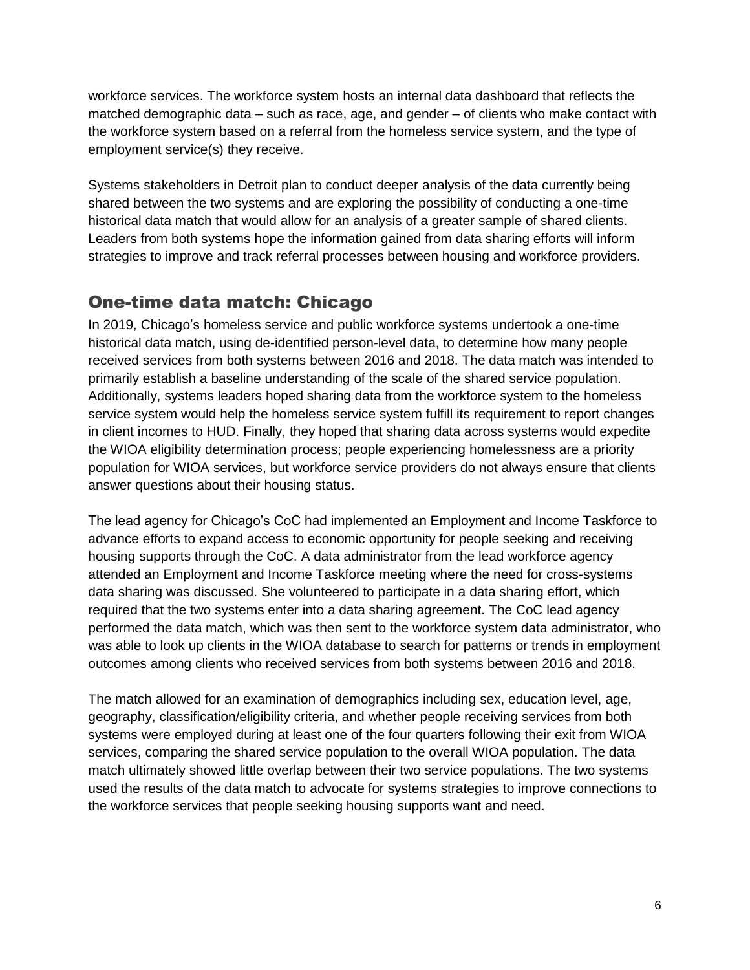workforce services. The workforce system hosts an internal data dashboard that reflects the matched demographic data – such as race, age, and gender – of clients who make contact with the workforce system based on a referral from the homeless service system, and the type of employment service(s) they receive.

Systems stakeholders in Detroit plan to conduct deeper analysis of the data currently being shared between the two systems and are exploring the possibility of conducting a one-time historical data match that would allow for an analysis of a greater sample of shared clients. Leaders from both systems hope the information gained from data sharing efforts will inform strategies to improve and track referral processes between housing and workforce providers.

## One-time data match: Chicago

In 2019, Chicago's homeless service and public workforce systems undertook a one-time historical data match, using de-identified person-level data, to determine how many people received services from both systems between 2016 and 2018. The data match was intended to primarily establish a baseline understanding of the scale of the shared service population. Additionally, systems leaders hoped sharing data from the workforce system to the homeless service system would help the homeless service system fulfill its requirement to report changes in client incomes to HUD. Finally, they hoped that sharing data across systems would expedite the WIOA eligibility determination process; people experiencing homelessness are a priority population for WIOA services, but workforce service providers do not always ensure that clients answer questions about their housing status.

The lead agency for Chicago's CoC had implemented an Employment and Income Taskforce to advance efforts to expand access to economic opportunity for people seeking and receiving housing supports through the CoC. A data administrator from the lead workforce agency attended an Employment and Income Taskforce meeting where the need for cross-systems data sharing was discussed. She volunteered to participate in a data sharing effort, which required that the two systems enter into a data sharing agreement. The CoC lead agency performed the data match, which was then sent to the workforce system data administrator, who was able to look up clients in the WIOA database to search for patterns or trends in employment outcomes among clients who received services from both systems between 2016 and 2018.

The match allowed for an examination of demographics including sex, education level, age, geography, classification/eligibility criteria, and whether people receiving services from both systems were employed during at least one of the four quarters following their exit from WIOA services, comparing the shared service population to the overall WIOA population. The data match ultimately showed little overlap between their two service populations. The two systems used the results of the data match to advocate for systems strategies to improve connections to the workforce services that people seeking housing supports want and need.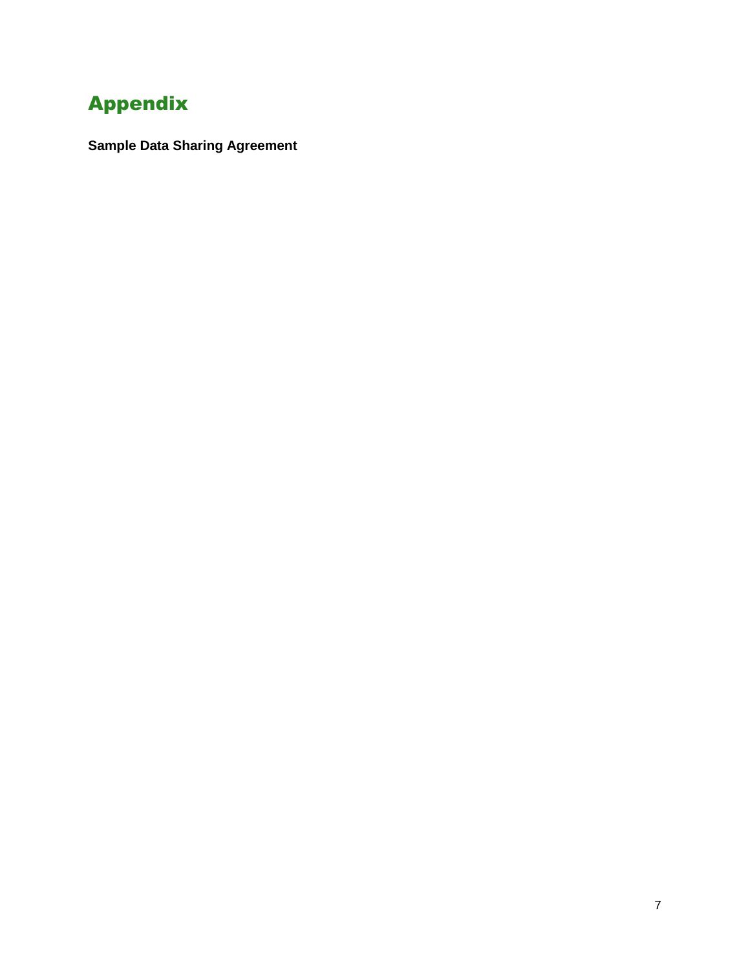# Appendix

**Sample Data Sharing Agreement**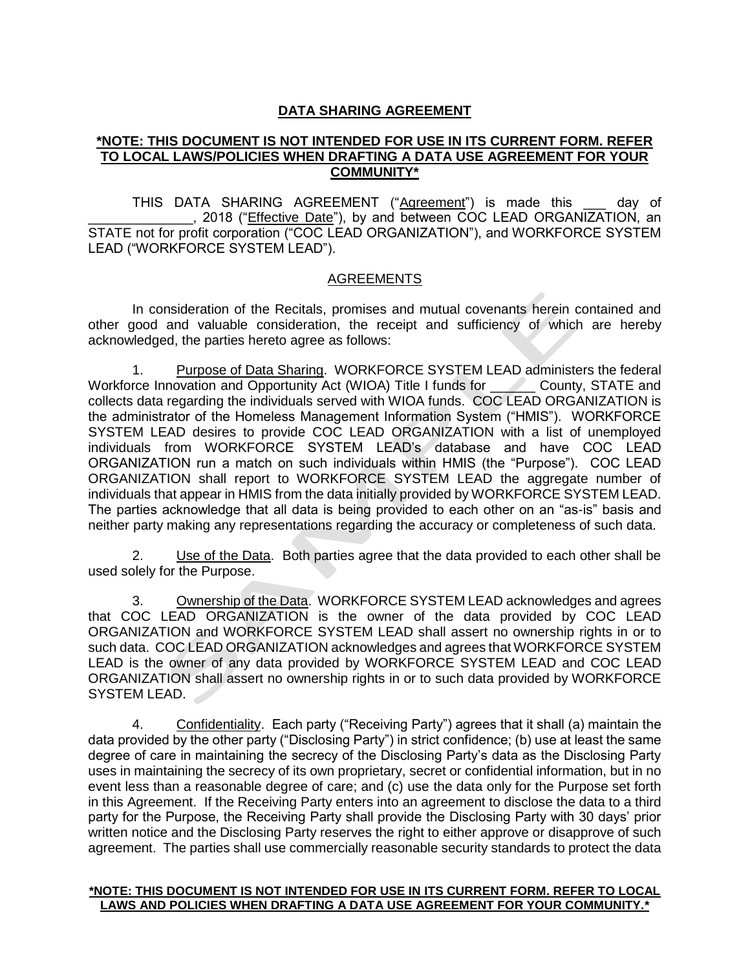### **DATA SHARING AGREEMENT**

#### **\*NOTE: THIS DOCUMENT IS NOT INTENDED FOR USE IN ITS CURRENT FORM. REFER TO LOCAL LAWS/POLICIES WHEN DRAFTING A DATA USE AGREEMENT FOR YOUR COMMUNITY\***

THIS DATA SHARING AGREEMENT ("Agreement") is made this day of \_\_\_\_\_\_\_\_\_\_\_\_\_\_, 2018 ("Effective Date"), by and between COC LEAD ORGANIZATION, an STATE not for profit corporation ("COC LEAD ORGANIZATION"), and WORKFORCE SYSTEM LEAD ("WORKFORCE SYSTEM LEAD").

#### AGREEMENTS

In consideration of the Recitals, promises and mutual covenants herein contained and other good and valuable consideration, the receipt and sufficiency of which are hereby acknowledged, the parties hereto agree as follows:

1. Purpose of Data Sharing. WORKFORCE SYSTEM LEAD administers the federal Workforce Innovation and Opportunity Act (WIOA) Title I funds for County, STATE and collects data regarding the individuals served with WIOA funds. COC LEAD ORGANIZATION is the administrator of the Homeless Management Information System ("HMIS"). WORKFORCE SYSTEM LEAD desires to provide COC LEAD ORGANIZATION with a list of unemployed individuals from WORKFORCE SYSTEM LEAD's database and have COC LEAD ORGANIZATION run a match on such individuals within HMIS (the "Purpose"). COC LEAD ORGANIZATION shall report to WORKFORCE SYSTEM LEAD the aggregate number of individuals that appear in HMIS from the data initially provided by WORKFORCE SYSTEM LEAD. The parties acknowledge that all data is being provided to each other on an "as-is" basis and neither party making any representations regarding the accuracy or completeness of such data.

2. Use of the Data. Both parties agree that the data provided to each other shall be used solely for the Purpose.

3. Ownership of the Data. WORKFORCE SYSTEM LEAD acknowledges and agrees that COC LEAD ORGANIZATION is the owner of the data provided by COC LEAD ORGANIZATION and WORKFORCE SYSTEM LEAD shall assert no ownership rights in or to such data. COC LEAD ORGANIZATION acknowledges and agrees that WORKFORCE SYSTEM LEAD is the owner of any data provided by WORKFORCE SYSTEM LEAD and COC LEAD ORGANIZATION shall assert no ownership rights in or to such data provided by WORKFORCE SYSTEM LEAD.

4. Confidentiality. Each party ("Receiving Party") agrees that it shall (a) maintain the data provided by the other party ("Disclosing Party") in strict confidence; (b) use at least the same degree of care in maintaining the secrecy of the Disclosing Party's data as the Disclosing Party uses in maintaining the secrecy of its own proprietary, secret or confidential information, but in no event less than a reasonable degree of care; and (c) use the data only for the Purpose set forth in this Agreement. If the Receiving Party enters into an agreement to disclose the data to a third party for the Purpose, the Receiving Party shall provide the Disclosing Party with 30 days' prior written notice and the Disclosing Party reserves the right to either approve or disapprove of such agreement. The parties shall use commercially reasonable security standards to protect the data

#### **\*NOTE: THIS DOCUMENT IS NOT INTENDED FOR USE IN ITS CURRENT FORM. REFER TO LOCAL LAWS AND POLICIES WHEN DRAFTING A DATA USE AGREEMENT FOR YOUR COMMUNITY.\***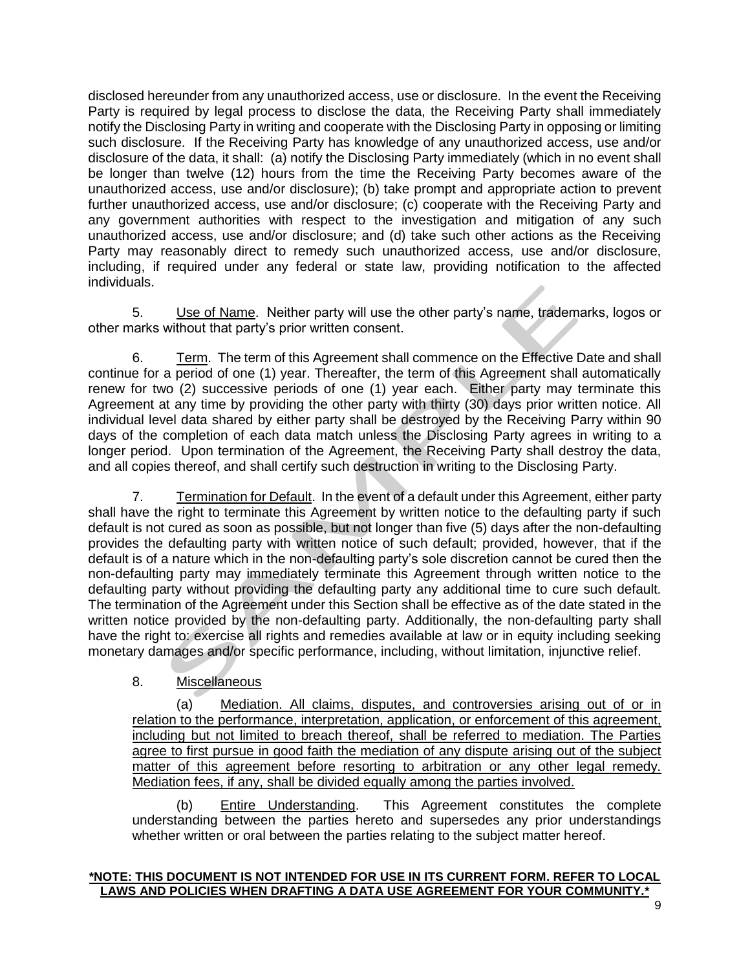disclosed hereunder from any unauthorized access, use or disclosure. In the event the Receiving Party is required by legal process to disclose the data, the Receiving Party shall immediately notify the Disclosing Party in writing and cooperate with the Disclosing Party in opposing or limiting such disclosure. If the Receiving Party has knowledge of any unauthorized access, use and/or disclosure of the data, it shall: (a) notify the Disclosing Party immediately (which in no event shall be longer than twelve (12) hours from the time the Receiving Party becomes aware of the unauthorized access, use and/or disclosure); (b) take prompt and appropriate action to prevent further unauthorized access, use and/or disclosure; (c) cooperate with the Receiving Party and any government authorities with respect to the investigation and mitigation of any such unauthorized access, use and/or disclosure; and (d) take such other actions as the Receiving Party may reasonably direct to remedy such unauthorized access, use and/or disclosure, including, if required under any federal or state law, providing notification to the affected individuals.

5. Use of Name. Neither party will use the other party's name, trademarks, logos or other marks without that party's prior written consent.

6. Term. The term of this Agreement shall commence on the Effective Date and shall continue for a period of one (1) year. Thereafter, the term of this Agreement shall automatically renew for two (2) successive periods of one (1) year each. Either party may terminate this Agreement at any time by providing the other party with thirty (30) days prior written notice. All individual level data shared by either party shall be destroyed by the Receiving Parry within 90 days of the completion of each data match unless the Disclosing Party agrees in writing to a longer period. Upon termination of the Agreement, the Receiving Party shall destroy the data, and all copies thereof, and shall certify such destruction in writing to the Disclosing Party.

7. Termination for Default. In the event of a default under this Agreement, either party shall have the right to terminate this Agreement by written notice to the defaulting party if such default is not cured as soon as possible, but not longer than five (5) days after the non-defaulting provides the defaulting party with written notice of such default; provided, however, that if the default is of a nature which in the non-defaulting party's sole discretion cannot be cured then the non-defaulting party may immediately terminate this Agreement through written notice to the defaulting party without providing the defaulting party any additional time to cure such default. The termination of the Agreement under this Section shall be effective as of the date stated in the written notice provided by the non-defaulting party. Additionally, the non-defaulting party shall have the right to: exercise all rights and remedies available at law or in equity including seeking monetary damages and/or specific performance, including, without limitation, injunctive relief.

### 8. Miscellaneous

(a) Mediation. All claims, disputes, and controversies arising out of or in relation to the performance, interpretation, application, or enforcement of this agreement, including but not limited to breach thereof, shall be referred to mediation. The Parties agree to first pursue in good faith the mediation of any dispute arising out of the subject matter of this agreement before resorting to arbitration or any other legal remedy. Mediation fees, if any, shall be divided equally among the parties involved.

(b) Entire Understanding. This Agreement constitutes the complete understanding between the parties hereto and supersedes any prior understandings whether written or oral between the parties relating to the subject matter hereof.

#### **\*NOTE: THIS DOCUMENT IS NOT INTENDED FOR USE IN ITS CURRENT FORM. REFER TO LOCAL LAWS AND POLICIES WHEN DRAFTING A DATA USE AGREEMENT FOR YOUR COMMUNITY.**\*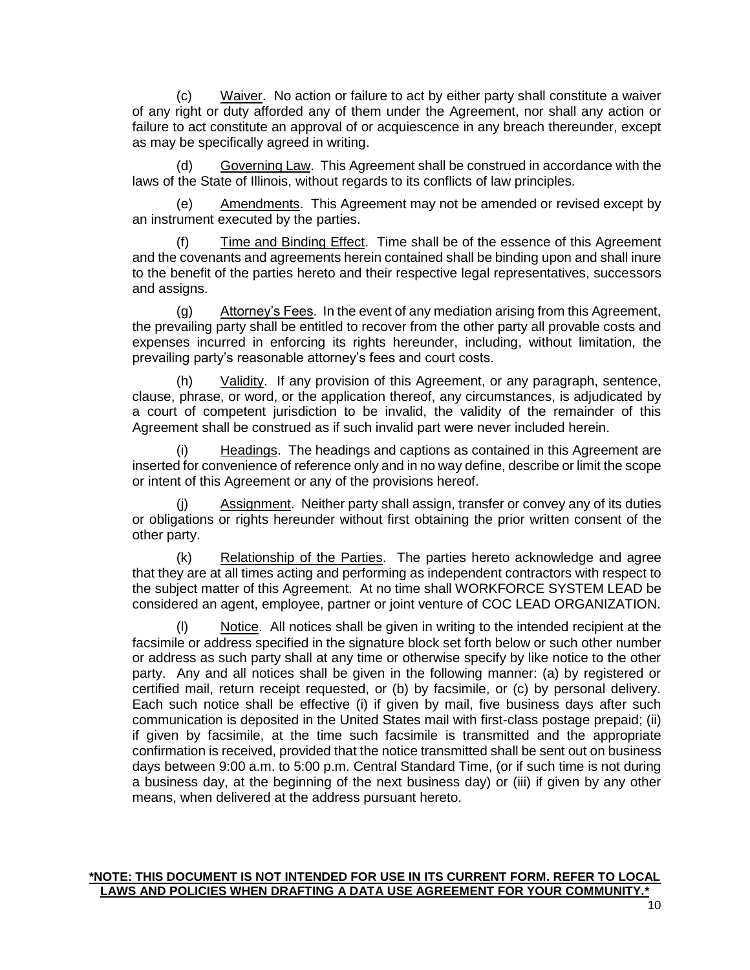(c) Waiver. No action or failure to act by either party shall constitute a waiver of any right or duty afforded any of them under the Agreement, nor shall any action or failure to act constitute an approval of or acquiescence in any breach thereunder, except as may be specifically agreed in writing.

(d) Governing Law. This Agreement shall be construed in accordance with the laws of the State of Illinois, without regards to its conflicts of law principles.

(e) Amendments. This Agreement may not be amended or revised except by an instrument executed by the parties.

(f) Time and Binding Effect. Time shall be of the essence of this Agreement and the covenants and agreements herein contained shall be binding upon and shall inure to the benefit of the parties hereto and their respective legal representatives, successors and assigns.

(g) Attorney's Fees. In the event of any mediation arising from this Agreement, the prevailing party shall be entitled to recover from the other party all provable costs and expenses incurred in enforcing its rights hereunder, including, without limitation, the prevailing party's reasonable attorney's fees and court costs.

Validity. If any provision of this Agreement, or any paragraph, sentence, clause, phrase, or word, or the application thereof, any circumstances, is adjudicated by a court of competent jurisdiction to be invalid, the validity of the remainder of this Agreement shall be construed as if such invalid part were never included herein.

(i) Headings. The headings and captions as contained in this Agreement are inserted for convenience of reference only and in no way define, describe or limit the scope or intent of this Agreement or any of the provisions hereof.

(j) Assignment. Neither party shall assign, transfer or convey any of its duties or obligations or rights hereunder without first obtaining the prior written consent of the other party.

(k) Relationship of the Parties. The parties hereto acknowledge and agree that they are at all times acting and performing as independent contractors with respect to the subject matter of this Agreement. At no time shall WORKFORCE SYSTEM LEAD be considered an agent, employee, partner or joint venture of COC LEAD ORGANIZATION.

(l) Notice. All notices shall be given in writing to the intended recipient at the facsimile or address specified in the signature block set forth below or such other number or address as such party shall at any time or otherwise specify by like notice to the other party. Any and all notices shall be given in the following manner: (a) by registered or certified mail, return receipt requested, or (b) by facsimile, or (c) by personal delivery. Each such notice shall be effective (i) if given by mail, five business days after such communication is deposited in the United States mail with first-class postage prepaid; (ii) if given by facsimile, at the time such facsimile is transmitted and the appropriate confirmation is received, provided that the notice transmitted shall be sent out on business days between 9:00 a.m. to 5:00 p.m. Central Standard Time, (or if such time is not during a business day, at the beginning of the next business day) or (iii) if given by any other means, when delivered at the address pursuant hereto.

#### **\*NOTE: THIS DOCUMENT IS NOT INTENDED FOR USE IN ITS CURRENT FORM. REFER TO LOCAL LAWS AND POLICIES WHEN DRAFTING A DATA USE AGREEMENT FOR YOUR COMMUNITY.<sup>\*</sup>**